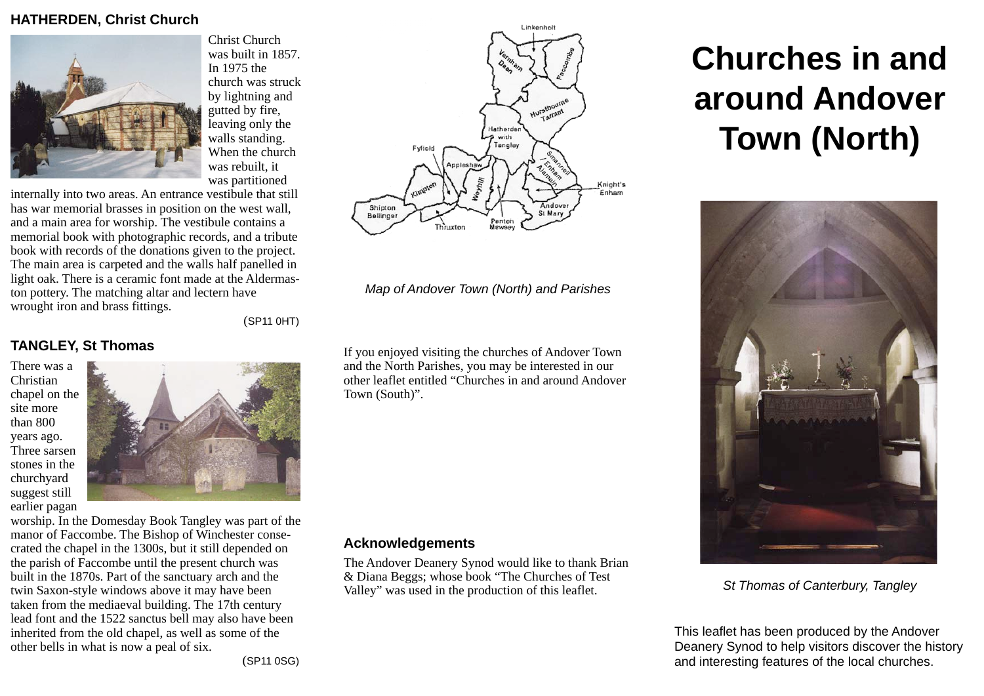# **HATHERDEN, Christ Church**



Christ Church was built in 1857. In 1975 the church was struck by lightning and gutted by fire, leaving only the walls standing. When the church was rebuilt, it was partitioned

internally into two areas. An entrance vestibule that still has war memorial brasses in position on the west wall, and a main area for worship. The vestibule contains a memorial book with photographic records, and a tribute book with records of the donations given to the project. The main area is carpeted and the walls half panelled in light oak. There is a ceramic font made at the Aldermaston pottery. The matching altar and lectern have wrought iron and brass fittings.

(SP11 0HT)

# **TANGLEY, St Thomas**

There was a Christian chapel on the site more than 800 years ago. Three sarsen stones in the churchyard suggest still earlier pagan



worship. In the Domesday Book Tangley was part of the manor of Faccombe. The Bishop of Winchester consecrated the chapel in the 1300s, but it still depended on the parish of Faccombe until the present church was built in the 1870s. Part of the sanctuary arch and the twin Saxon-style windows above it may have been taken from the mediaeval building. The 17th century lead font and the 1522 sanctus bell may also have been inherited from the old chapel, as well as some of the other bells in what is now a peal of six.



*Map of Andover Town (North) and Parishes*

If you enjoyed visiting the churches of Andover Town and the North Parishes, you may be interested in our other leaflet entitled "Churches in and around Andover Town (South)".

#### **Acknowledgements**

The Andover Deanery Synod would like to thank Brian & Diana Beggs; whose book "The Churches of Test Valley" was used in the production of this leaflet.

# **Churches in and around Andover Town (North)**



*St Thomas of Canterbury, Tangley*

This leaflet has been produced by the Andover Deanery Synod to help visitors discover the history and interesting features of the local churches.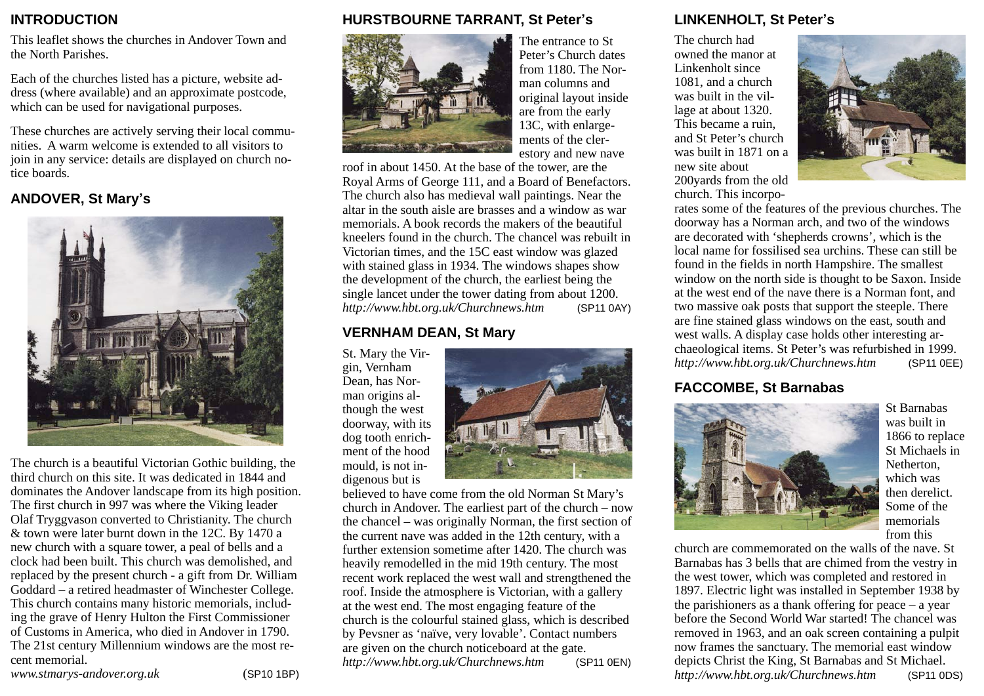# **INTRODUCTION**

This leaflet shows the churches in Andover Town and the North Parishes.

Each of the churches listed has a picture, website address (where available) and an approximate postcode, which can be used for navigational purposes.

These churches are actively serving their local communities. A warm welcome is extended to all visitors to join in any service: details are displayed on church notice boards.

# **ANDOVER, St Mary's**



The church is a beautiful Victorian Gothic building, the third church on this site. It was dedicated in 1844 and dominates the Andover landscape from its high position. The first church in 997 was where the Viking leader Olaf Tryggvason converted to Christianity. The church & town were later burnt down in the 12C. By 1470 a new church with a square tower, a peal of bells and a clock had been built. This church was demolished, and replaced by the present church - a gift from Dr. William Goddard – a retired headmaster of Winchester College. This church contains many historic memorials, including the grave of Henry Hulton the First Commissioner of Customs in America, who died in Andover in 1790. The 21st century Millennium windows are the most recent memorial.

*[www.stmarys-andover.org.uk](http://www.stmarys-andover.org.uk)* (SP10 1BP)

# **HURSTBOURNE TARRANT, St Peter's**



The entrance to St Peter's Church dates from 1180. The Norman columns and original layout inside are from the early 13C, with enlargements of the clerestory and new nave

roof in about 1450. At the base of the tower, are the Royal Arms of George 111, and a Board of Benefactors. The church also has medieval wall paintings. Near the altar in the south aisle are brasses and a window as war memorials. A book records the makers of the beautiful kneelers found in the church. The chancel was rebuilt in Victorian times, and the 15C east window was glazed with stained glass in 1934. The windows shapes show the development of the church, the earliest being the single lancet under the tower dating from about 1200. *<http://www.hbt.org.uk/Churchnews.htm>* (SP11 0AY)

# **VERNHAM DEAN, St Mary**

St. Mary the Virgin, Vernham Dean, has Norman origins although the west doorway, with its dog tooth enrichment of the hood mould, is not indigenous but is



believed to have come from the old Norman St Mary's church in Andover. The earliest part of the church – now the chancel – was originally Norman, the first section of the current nave was added in the 12th century, with a further extension sometime after 1420. The church was heavily remodelled in the mid 19th century. The most recent work replaced the west wall and strengthened the roof. Inside the atmosphere is Victorian, with a gallery at the west end. The most engaging feature of the church is the colourful stained glass, which is described by Pevsner as 'naïve, very lovable'. Contact numbers are given on the church noticeboard at the gate. *<http://www.hbt.org.uk/Churchnews.htm>* (SP11 0EN)

# **LINKENHOLT, St Peter's**

The church had owned the manor at Linkenholt since 1081, and a church was built in the village at about 1320. This became a ruin, and St Peter's church was built in 1871 on a new site about 200yards from the old church. This incorpo-



rates some of the features of the previous churches. The doorway has a Norman arch, and two of the windows are decorated with 'shepherds crowns', which is the local name for fossilised sea urchins. These can still be found in the fields in north Hampshire. The smallest window on the north side is thought to be Saxon. Inside at the west end of the nave there is a Norman font, and two massive oak posts that support the steeple. There are fine stained glass windows on the east, south and west walls. A display case holds other interesting archaeological items. St Peter's was refurbished in 1999. *<http://www.hbt.org.uk/Churchnews.htm>* (SP11 0EE)

# **FACCOMBE, St Barnabas**



St Barnabas was built in 1866 to replace St Michaels in Netherton, which was then derelict. Some of the memorials from this

church are commemorated on the walls of the nave. St Barnabas has 3 bells that are chimed from the vestry in the west tower, which was completed and restored in 1897. Electric light was installed in September 1938 by the parishioners as a thank offering for peace – a year before the Second World War started! The chancel was removed in 1963, and an oak screen containing a pulpit now frames the sanctuary. The memorial east window depicts Christ the King, St Barnabas and St Michael. *<http://www.hbt.org.uk/Churchnews.htm>* (SP11 0DS)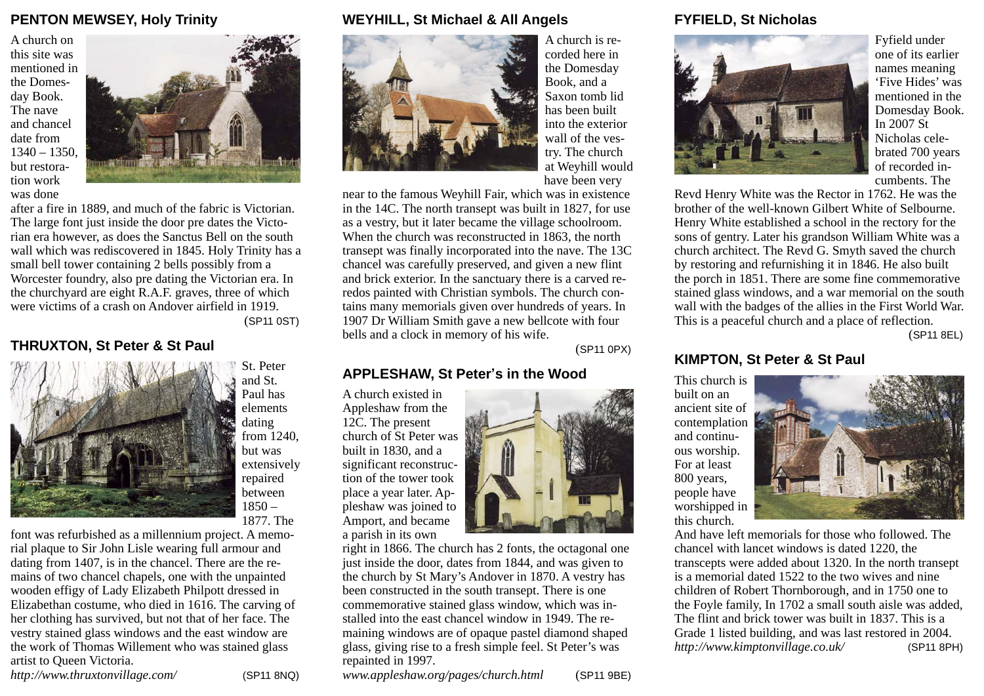# **PENTON MEWSEY, Holy Trinity**

A church on this site was mentioned in the Domesday Book. The nave and chancel date from  $1340 - 1350$ but restoration work was done



after a fire in 1889, and much of the fabric is Victorian. The large font just inside the door pre dates the Victorian era however, as does the Sanctus Bell on the south wall which was rediscovered in 1845. Holy Trinity has a small bell tower containing 2 bells possibly from a Worcester foundry, also pre dating the Victorian era. In the churchyard are eight R.A.F. graves, three of which were victims of a crash on Andover airfield in 1919. (SP11 0ST)

### **THRUXTON, St Peter & St Paul**



St. Peter and St. Paul has elements dating from 1240, but was extensively repaired between  $1850 -$ 1877. The

font was refurbished as a millennium project. A memorial plaque to Sir John Lisle wearing full armour and dating from 1407, is in the chancel. There are the remains of two chancel chapels, one with the unpainted wooden effigy of Lady Elizabeth Philpott dressed in Elizabethan costume, who died in 1616. The carving of her clothing has survived, but not that of her face. The vestry stained glass windows and the east window are the work of Thomas Willement who was stained glass artist to Queen Victoria.

*[http://www.thruxtonvillage.com/](http://www.thruxtonvillage.com)* (SP11 8NQ)

#### **WEYHILL, St Michael & All Angels**



A church is recorded here in the Domesday Book, and a Saxon tomb lid has been built into the exterior wall of the vestry. The church at Weyhill would have been very

near to the famous Weyhill Fair, which was in existence in the 14C. The north transept was built in 1827, for use as a vestry, but it later became the village schoolroom. When the church was reconstructed in 1863, the north transept was finally incorporated into the nave. The 13C chancel was carefully preserved, and given a new flint and brick exterior. In the sanctuary there is a carved reredos painted with Christian symbols. The church contains many memorials given over hundreds of years. In 1907 Dr William Smith gave a new bellcote with four bells and a clock in memory of his wife.

(SP11 0PX)

#### **APPLESHAW, St Peter's in the Wood**

A church existed in Appleshaw from the 12C. The present church of St Peter was built in 1830, and a significant reconstruction of the tower took place a year later. Appleshaw was joined to Amport, and became a parish in its own



right in 1866. The church has 2 fonts, the octagonal one just inside the door, dates from 1844, and was given to the church by St Mary's Andover in 1870. A vestry has been constructed in the south transept. There is one commemorative stained glass window, which was installed into the east chancel window in 1949. The remaining windows are of opaque pastel diamond shaped glass, giving rise to a fresh simple feel. St Peter's was repainted in 1997.

*[www.appleshaw.org/pages/church.html](http://www.appleshaw.org/pages/church.html)* (SP11 9BE)

#### **FYFIELD, St Nicholas**



Fyfield under one of its earlier names meaning 'Five Hides' was mentioned in the Domesday Book. In 2007 St Nicholas celebrated 700 years of recorded incumbents. The

Revd Henry White was the Rector in 1762. He was the brother of the well-known Gilbert White of Selbourne. Henry White established a school in the rectory for the sons of gentry. Later his grandson William White was a church architect. The Revd G. Smyth saved the church by restoring and refurnishing it in 1846. He also built the porch in 1851. There are some fine commemorative stained glass windows, and a war memorial on the south wall with the badges of the allies in the First World War. This is a peaceful church and a place of reflection.

(SP11 8EL)

#### **KIMPTON, St Peter & St Paul**

This church is built on an ancient site of contemplation and continuous worship. For at least 800 years, people have worshipped in this church.



And have left memorials for those who followed. The chancel with lancet windows is dated 1220, the transcepts were added about 1320. In the north transept is a memorial dated 1522 to the two wives and nine children of Robert Thornborough, and in 1750 one to the Foyle family, In 1702 a small south aisle was added, The flint and brick tower was built in 1837. This is a Grade 1 listed building, and was last restored in 2004. *[http://www.kimptonvillage.co.uk/](http://www.kimptonvillage.co.uk)* (SP11 8PH)